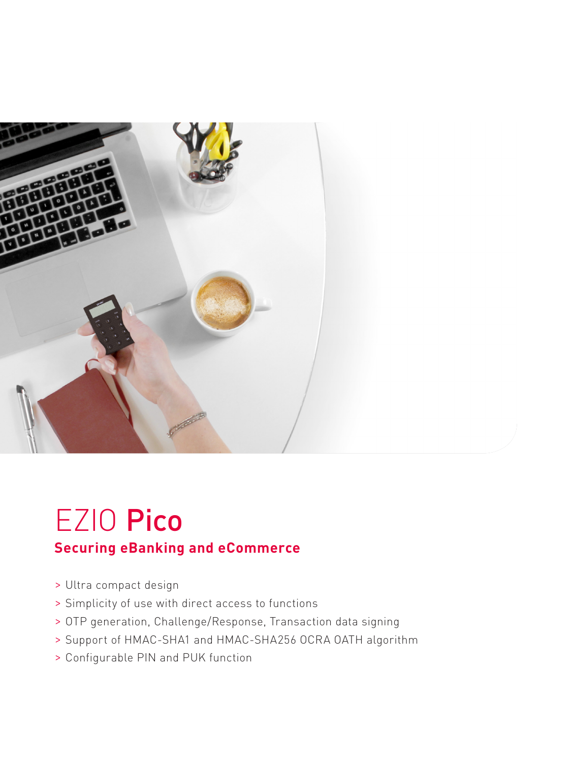

# EZIO Pico

### **Securing eBanking and eCommerce**

- > Ultra compact design
- > Simplicity of use with direct access to functions
- > OTP generation, Challenge/Response, Transaction data signing
- > Support of HMAC-SHA1 and HMAC-SHA256 OCRA OATH algorithm
- > Configurable PIN and PUK function